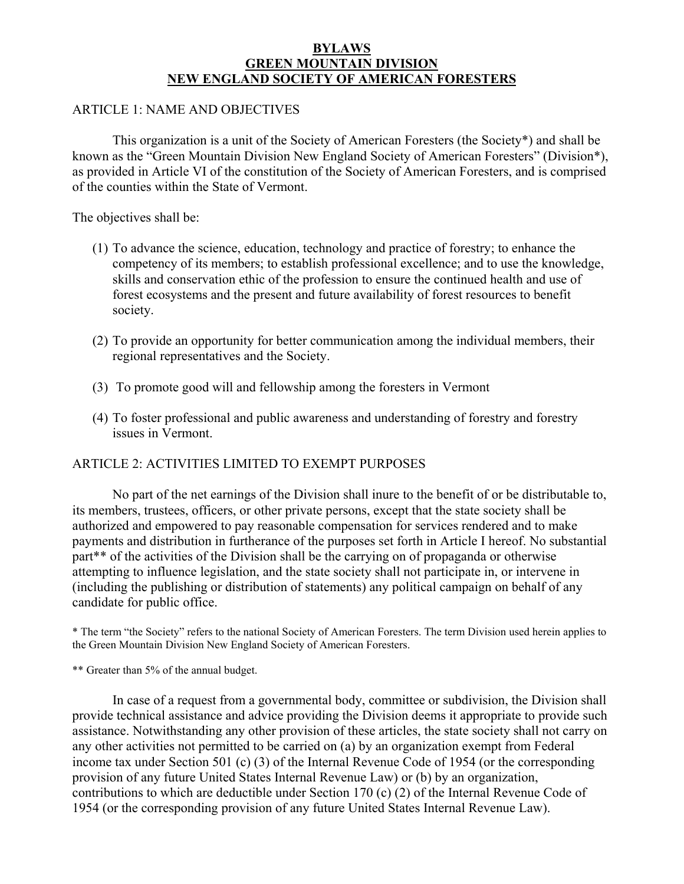## **BYLAWS GREEN MOUNTAIN DIVISION NEW ENGLAND SOCIETY OF AMERICAN FORESTERS**

## ARTICLE 1: NAME AND OBJECTIVES

 This organization is a unit of the Society of American Foresters (the Society\*) and shall be known as the "Green Mountain Division New England Society of American Foresters" (Division\*), as provided in Article VI of the constitution of the Society of American Foresters, and is comprised of the counties within the State of Vermont.

The objectives shall be:

- (1) To advance the science, education, technology and practice of forestry; to enhance the competency of its members; to establish professional excellence; and to use the knowledge, skills and conservation ethic of the profession to ensure the continued health and use of forest ecosystems and the present and future availability of forest resources to benefit society.
- (2) To provide an opportunity for better communication among the individual members, their regional representatives and the Society.
- (3) To promote good will and fellowship among the foresters in Vermont
- (4) To foster professional and public awareness and understanding of forestry and forestry issues in Vermont.

# ARTICLE 2: ACTIVITIES LIMITED TO EXEMPT PURPOSES

 No part of the net earnings of the Division shall inure to the benefit of or be distributable to, its members, trustees, officers, or other private persons, except that the state society shall be authorized and empowered to pay reasonable compensation for services rendered and to make payments and distribution in furtherance of the purposes set forth in Article I hereof. No substantial part\*\* of the activities of the Division shall be the carrying on of propaganda or otherwise attempting to influence legislation, and the state society shall not participate in, or intervene in (including the publishing or distribution of statements) any political campaign on behalf of any candidate for public office.

\* The term "the Society" refers to the national Society of American Foresters. The term Division used herein applies to the Green Mountain Division New England Society of American Foresters.

\*\* Greater than 5% of the annual budget.

 In case of a request from a governmental body, committee or subdivision, the Division shall provide technical assistance and advice providing the Division deems it appropriate to provide such assistance. Notwithstanding any other provision of these articles, the state society shall not carry on any other activities not permitted to be carried on (a) by an organization exempt from Federal income tax under Section 501 (c) (3) of the Internal Revenue Code of 1954 (or the corresponding provision of any future United States Internal Revenue Law) or (b) by an organization, contributions to which are deductible under Section 170 (c) (2) of the Internal Revenue Code of 1954 (or the corresponding provision of any future United States Internal Revenue Law).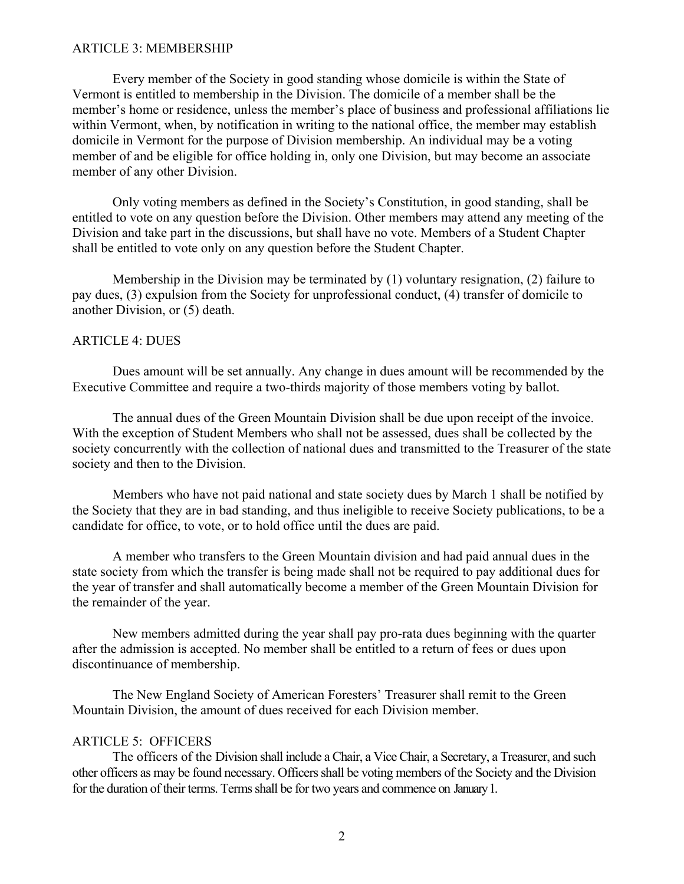#### ARTICLE 3: MEMBERSHIP

Every member of the Society in good standing whose domicile is within the State of Vermont is entitled to membership in the Division. The domicile of a member shall be the member's home or residence, unless the member's place of business and professional affiliations lie within Vermont, when, by notification in writing to the national office, the member may establish domicile in Vermont for the purpose of Division membership. An individual may be a voting member of and be eligible for office holding in, only one Division, but may become an associate member of any other Division.

Only voting members as defined in the Society's Constitution, in good standing, shall be entitled to vote on any question before the Division. Other members may attend any meeting of the Division and take part in the discussions, but shall have no vote. Members of a Student Chapter shall be entitled to vote only on any question before the Student Chapter.

Membership in the Division may be terminated by (1) voluntary resignation, (2) failure to pay dues, (3) expulsion from the Society for unprofessional conduct, (4) transfer of domicile to another Division, or (5) death.

### ARTICLE 4: DUES

Dues amount will be set annually. Any change in dues amount will be recommended by the Executive Committee and require a two-thirds majority of those members voting by ballot.

The annual dues of the Green Mountain Division shall be due upon receipt of the invoice. With the exception of Student Members who shall not be assessed, dues shall be collected by the society concurrently with the collection of national dues and transmitted to the Treasurer of the state society and then to the Division.

Members who have not paid national and state society dues by March 1 shall be notified by the Society that they are in bad standing, and thus ineligible to receive Society publications, to be a candidate for office, to vote, or to hold office until the dues are paid.

A member who transfers to the Green Mountain division and had paid annual dues in the state society from which the transfer is being made shall not be required to pay additional dues for the year of transfer and shall automatically become a member of the Green Mountain Division for the remainder of the year.

New members admitted during the year shall pay pro-rata dues beginning with the quarter after the admission is accepted. No member shall be entitled to a return of fees or dues upon discontinuance of membership.

The New England Society of American Foresters' Treasurer shall remit to the Green Mountain Division, the amount of dues received for each Division member.

#### ARTICLE 5: OFFICERS

The officers of the Division shall include a Chair, a Vice Chair, a Secretary, a Treasurer, and such other officers as may be found necessary. Officers shall be voting members of the Society and the Division for the duration of their terms. Terms shall be for two years and commence on January1.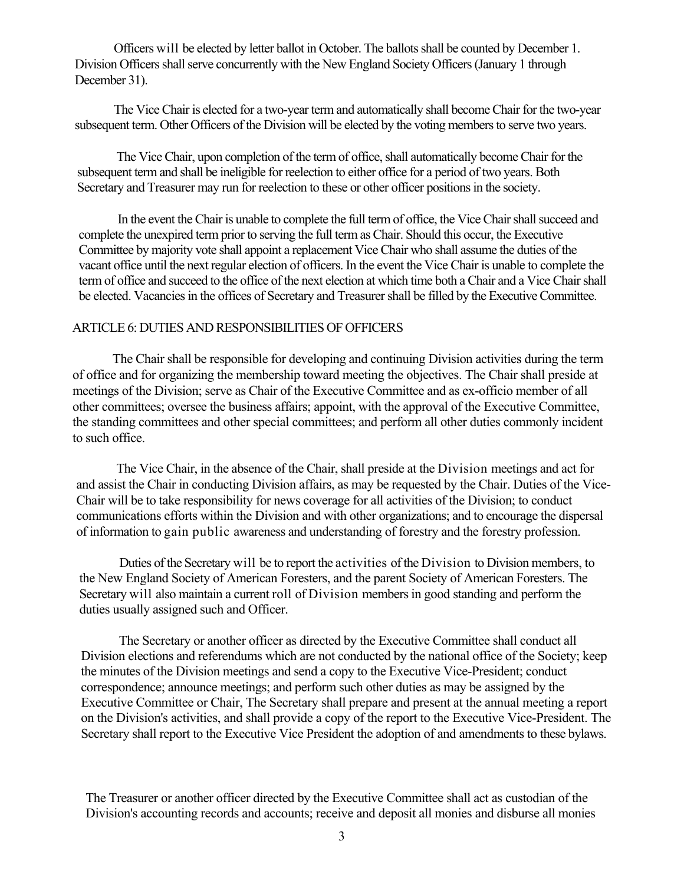Officers will be elected by letter ballot in October. The ballots shall be counted by December 1. Division Officers shall serve concurrently with the New England Society Officers (January 1 through December 31).

The Vice Chair is elected for a two-year term and automatically shall become Chair for the two-year subsequent term. Other Officers of the Division will be elected by the voting members to serve two years.

The Vice Chair, upon completion of the term of office, shall automatically become Chair for the subsequent term and shall be ineligible for reelection to either office for a period of two years. Both Secretary and Treasurer may run for reelection to these or other officer positions in the society.

In the event the Chair is unable to complete the full term of office, the Vice Chair shall succeed and complete the unexpired term prior to serving the full term as Chair. Should this occur, the Executive Committee by majority vote shall appoint a replacement Vice Chair who shall assume the duties of the vacant office until the next regular election of officers. In the event the Vice Chair is unable to complete the term of office and succeed to the office of the next election at which time both a Chair and a Vice Chair shall be elected. Vacancies in the offices of Secretary and Treasurer shall be filled by the Executive Committee.

### ARTICLE 6: DUTIES AND RESPONSIBILITIES OF OFFICERS

The Chair shall be responsible for developing and continuing Division activities during the term of office and for organizing the membership toward meeting the objectives. The Chair shall preside at meetings of the Division; serve as Chair of the Executive Committee and as ex-officio member of all other committees; oversee the business affairs; appoint, with the approval of the Executive Committee, the standing committees and other special committees; and perform all other duties commonly incident to such office.

The Vice Chair, in the absence of the Chair, shall preside at the Division meetings and act for and assist the Chair in conducting Division affairs, as may be requested by the Chair. Duties of the Vice-Chair will be to take responsibility for news coverage for all activities of the Division; to conduct communications efforts within the Division and with other organizations; and to encourage the dispersal of information to gain public awareness and understanding of forestry and the forestry profession.

Duties of the Secretary will be to report the activities of the Division to Division members, to the New England Society of American Foresters, and the parent Society of American Foresters. The Secretary will also maintain a current roll of Division members in good standing and perform the duties usually assigned such and Officer.

The Secretary or another officer as directed by the Executive Committee shall conduct all Division elections and referendums which are not conducted by the national office of the Society; keep the minutes of the Division meetings and send a copy to the Executive Vice-President; conduct correspondence; announce meetings; and perform such other duties as may be assigned by the Executive Committee or Chair, The Secretary shall prepare and present at the annual meeting a report on the Division's activities, and shall provide a copy of the report to the Executive Vice-President. The Secretary shall report to the Executive Vice President the adoption of and amendments to these bylaws.

The Treasurer or another officer directed by the Executive Committee shall act as custodian of the Division's accounting records and accounts; receive and deposit all monies and disburse all monies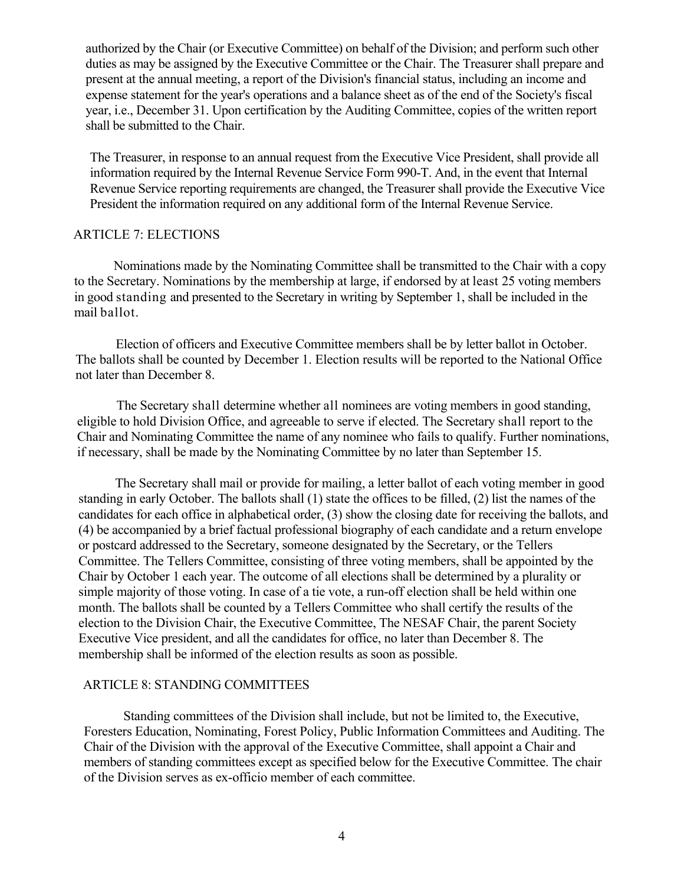authorized by the Chair (or Executive Committee) on behalf of the Division; and perform such other duties as may be assigned by the Executive Committee or the Chair. The Treasurer shall prepare and present at the annual meeting, a report of the Division's financial status, including an income and expense statement for the year's operations and a balance sheet as of the end of the Society's fiscal year, i.e., December 31. Upon certification by the Auditing Committee, copies of the written report shall be submitted to the Chair.

The Treasurer, in response to an annual request from the Executive Vice President, shall provide all information required by the Internal Revenue Service Form 990-T. And, in the event that Internal Revenue Service reporting requirements are changed, the Treasurer shall provide the Executive Vice President the information required on any additional form of the Internal Revenue Service.

## ARTICLE 7: ELECTIONS

Nominations made by the Nominating Committee shall be transmitted to the Chair with a copy to the Secretary. Nominations by the membership at large, if endorsed by at least 25 voting members in good standing and presented to the Secretary in writing by September 1, shall be included in the mail ballot.

Election of officers and Executive Committee members shall be by letter ballot in October. The ballots shall be counted by December 1. Election results will be reported to the National Office not later than December 8.

The Secretary shall determine whether all nominees are voting members in good standing, eligible to hold Division Office, and agreeable to serve if elected. The Secretary shall report to the Chair and Nominating Committee the name of any nominee who fails to qualify. Further nominations, if necessary, shall be made by the Nominating Committee by no later than September 15.

The Secretary shall mail or provide for mailing, a letter ballot of each voting member in good standing in early October. The ballots shall (1) state the offices to be filled, (2) list the names of the candidates for each office in alphabetical order, (3) show the closing date for receiving the ballots, and (4) be accompanied by a brief factual professional biography of each candidate and a return envelope or postcard addressed to the Secretary, someone designated by the Secretary, or the Tellers Committee. The Tellers Committee, consisting of three voting members, shall be appointed by the Chair by October 1 each year. The outcome of all elections shall be determined by a plurality or simple majority of those voting. In case of a tie vote, a run-off election shall be held within one month. The ballots shall be counted by a Tellers Committee who shall certify the results of the election to the Division Chair, the Executive Committee, The NESAF Chair, the parent Society Executive Vice president, and all the candidates for office, no later than December 8. The membership shall be informed of the election results as soon as possible.

## ARTICLE 8: STANDING COMMITTEES

Standing committees of the Division shall include, but not be limited to, the Executive, Foresters Education, Nominating, Forest Policy, Public Information Committees and Auditing. The Chair of the Division with the approval of the Executive Committee, shall appoint a Chair and members of standing committees except as specified below for the Executive Committee. The chair of the Division serves as ex-officio member of each committee.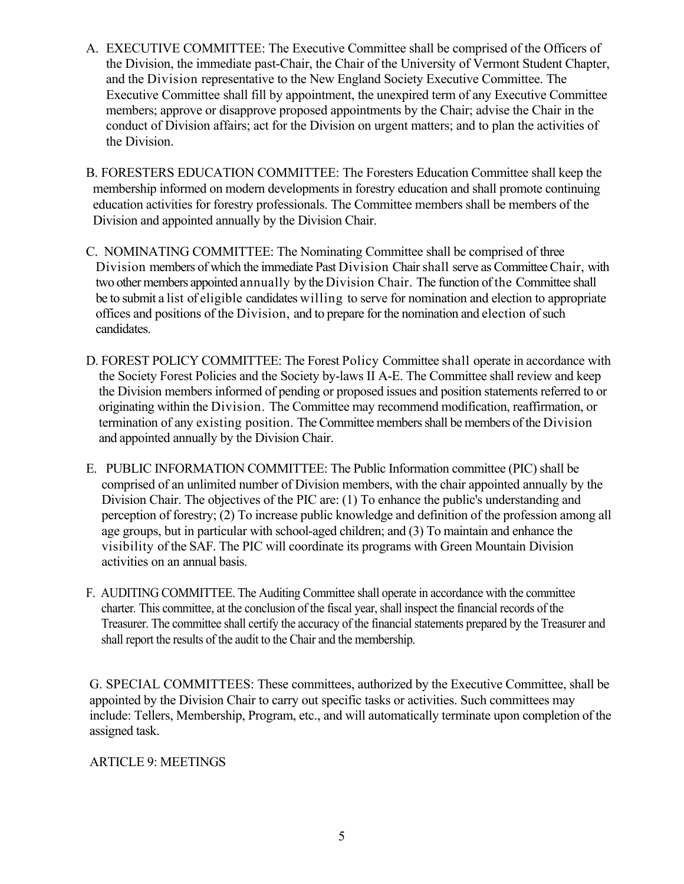- A. EXECUTIVE COMMITTEE: The Executive Committee shall be comprised of the Officers of the Division, the immediate past-Chair, the Chair of the University of Vermont Student Chapter, and the Division representative to the New England Society Executive Committee. The Executive Committee shall fill by appointment, the unexpired term of any Executive Committee members; approve or disapprove proposed appointments by the Chair; advise the Chair in the conduct of Division affairs; act for the Division on urgent matters; and to plan the activities of the Division.
- B. FORESTERS EDUCATION COMMITTEE: The Foresters Education Committee shall keep the membership informed on modern developments in forestry education and shall promote continuing education activities for forestry professionals. The Committee members shall be members of the Division and appointed annually by the Division Chair.
- C. NOMINATING COMMITTEE: The Nominating Committee shall be comprised of three Division members of which the immediate Past Division Chair shall serve as CommitteeChair, with two other members appointed annually by the Division Chair. The function of the Committee shall be to submit a list of eligible candidates willing to serve for nomination and election to appropriate offices and positions of the Division, and to prepare for the nomination and election of such candidates.
- D. FOREST POLICY COMMITTEE: The Forest Policy Committee shall operate in accordance with the Society Forest Policies and the Society by-laws II A-E. The Committee shall review and keep the Division members informed of pending or proposed issues and position statements referred to or originating within the Division. The Committee may recommend modification, reaffirmation, or termination of any existing position. The Committee members shall be members of the Division and appointed annually by the Division Chair.
- E. PUBLIC INFORMATION COMMITTEE: The Public Information committee (PIC) shall be comprised of an unlimited number of Division members, with the chair appointed annually by the Division Chair. The objectives of the PIC are: (1) To enhance the public's understanding and perception of forestry; (2) To increase public knowledge and definition of the profession among all age groups, but in particular with school-aged children; and (3) To maintain and enhance the visibility of the SAF. The PIC will coordinate its programs with Green Mountain Division activities on an annual basis.
- F. AUDITING COMMITTEE. The Auditing Committee shall operate in accordance with the committee charter*.* This committee, at the conclusion of the fiscal year, shall inspect the financial records of the Treasurer. The committee shall certify the accuracy of the financial statements prepared by the Treasurer and shall report the results of the audit to the Chair and the membership.

G. SPECIAL COMMITTEES: These committees, authorized by the Executive Committee, shall be appointed by the Division Chair to carry out specific tasks or activities. Such committees may include: Tellers, Membership, Program, etc., and will automatically terminate upon completion of the assigned task.

# ARTICLE 9: MEETINGS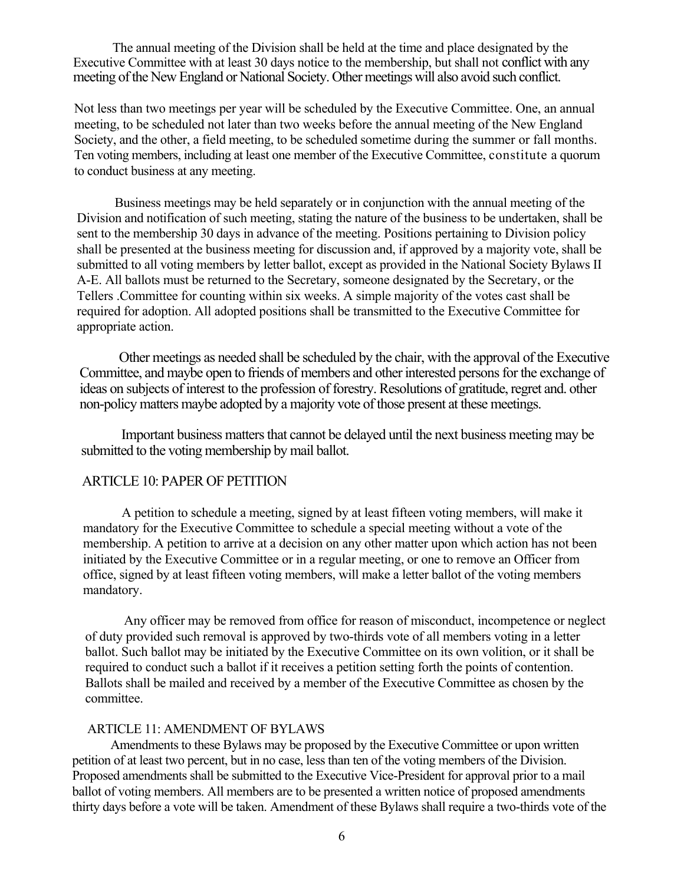The annual meeting of the Division shall be held at the time and place designated by the Executive Committee with at least 30 days notice to the membership, but shall not conflict with any meeting of the New England or National Society. Other meetings will also avoid such conflict.

Not less than two meetings per year will be scheduled by the Executive Committee. One, an annual meeting, to be scheduled not later than two weeks before the annual meeting of the New England Society, and the other, a field meeting, to be scheduled sometime during the summer or fall months. Ten voting members, including at least one member of the Executive Committee, constitute a quorum to conduct business at any meeting.

Business meetings may be held separately or in conjunction with the annual meeting of the Division and notification of such meeting, stating the nature of the business to be undertaken, shall be sent to the membership 30 days in advance of the meeting. Positions pertaining to Division policy shall be presented at the business meeting for discussion and, if approved by a majority vote, shall be submitted to all voting members by letter ballot, except as provided in the National Society Bylaws II A-E. All ballots must be returned to the Secretary, someone designated by the Secretary, or the Tellers .Committee for counting within six weeks. A simple majority of the votes cast shall be required for adoption. All adopted positions shall be transmitted to the Executive Committee for appropriate action.

Other meetings as needed shall be scheduled by the chair, with the approval of the Executive Committee, and maybe open to friends of members and other interested persons for the exchange of ideas on subjects of interest to the profession of forestry. Resolutions of gratitude, regret and. other non-policy matters maybe adopted by a majority vote of those present at these meetings.

Important business matters that cannot be delayed until the next business meeting may be submitted to the voting membership by mail ballot.

### ARTICLE 10: PAPER OF PETITION

A petition to schedule a meeting, signed by at least fifteen voting members, will make it mandatory for the Executive Committee to schedule a special meeting without a vote of the membership. A petition to arrive at a decision on any other matter upon which action has not been initiated by the Executive Committee or in a regular meeting, or one to remove an Officer from office, signed by at least fifteen voting members, will make a letter ballot of the voting members mandatory.

Any officer may be removed from office for reason of misconduct, incompetence or neglect of duty provided such removal is approved by two-thirds vote of all members voting in a letter ballot. Such ballot may be initiated by the Executive Committee on its own volition, or it shall be required to conduct such a ballot if it receives a petition setting forth the points of contention. Ballots shall be mailed and received by a member of the Executive Committee as chosen by the committee.

#### ARTICLE 11: AMENDMENT OF BYLAWS

Amendments to these Bylaws may be proposed by the Executive Committee or upon written petition of at least two percent, but in no case, less than ten of the voting members of the Division. Proposed amendments shall be submitted to the Executive Vice-President for approval prior to a mail ballot of voting members. All members are to be presented a written notice of proposed amendments thirty days before a vote will be taken. Amendment of these Bylaws shall require a two-thirds vote of the